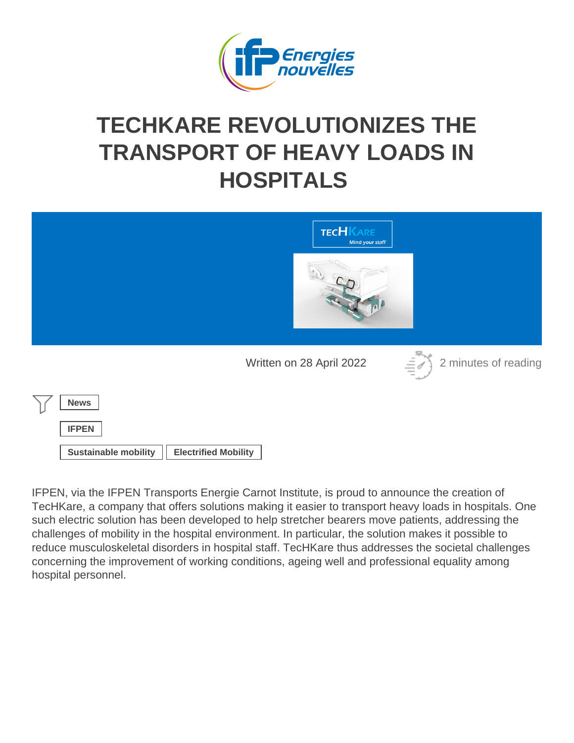## TECHKARE REVOLUTIONIZES THE [TRANSPORT OF HEAVY LOA](https://www.ifpenergiesnouvelles.com/article/techkare-revolutionizes-transport-heavy-loads-hospitals)DS IN **HOSPITALS**

Written on 28 April 2022 2 minutes of reading

News

IFPEN

Sustainable mobility | Electrified Mobility

IFPEN, via the IFPEN Transports Energie Carnot Institute, is proud to announce the creation of TecHKare, a company that offers solutions making it easier to transport heavy loads in hospitals. One such electric solution has been developed to help stretcher bearers move patients, addressing the challenges of mobility in the hospital environment. In particular, the solution makes it possible to reduce musculoskeletal disorders in hospital staff. TecHKare thus addresses the societal challenges concerning the improvement of working conditions, ageing well and professional equality among hospital personnel.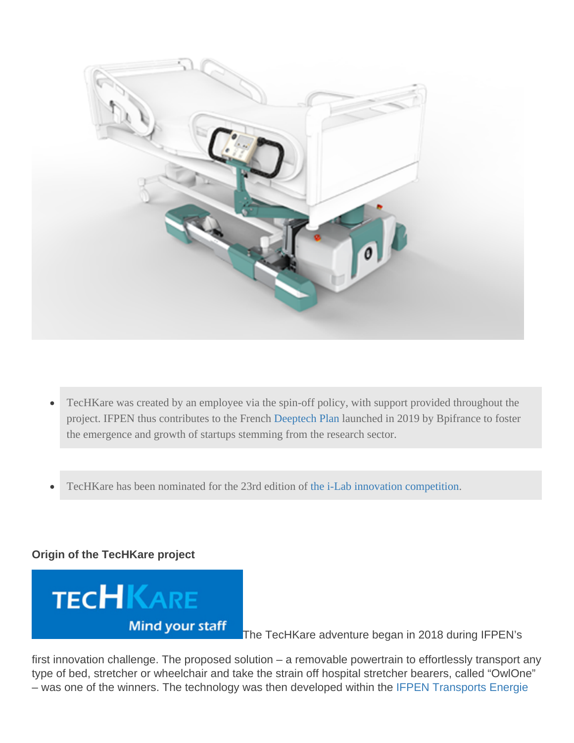- TecHKare was created by an employee via the spin-off policy, with support provided throughout the  $\bullet$ project. IFPEN thus contributes to the French plane Plan almohed in 2019 by Bpifrance to foster the emergence and growth of startups stemming from the research sector.
- TecHKare has been nominated for the 23rd edition of-Lab innovation competition

Origin of the TecHKare project

The TecHKare adventure began in 2018 during IFPEN's

first innovation challenge. The proposed solution – a removable powertrain to effortlessly transport any type of bed, stretcher or wheelchair and take the strain off hospital stretcher bearers, called "OwlOne" – was one of the winners. The technology was then developed within the [IFPEN Transports Energie](https://www.ifpenergiesnouvelles.com/innovation-and-industry/support-innovative-smes-and-start-ups/ifpen-transports-energie-carnot-institute)